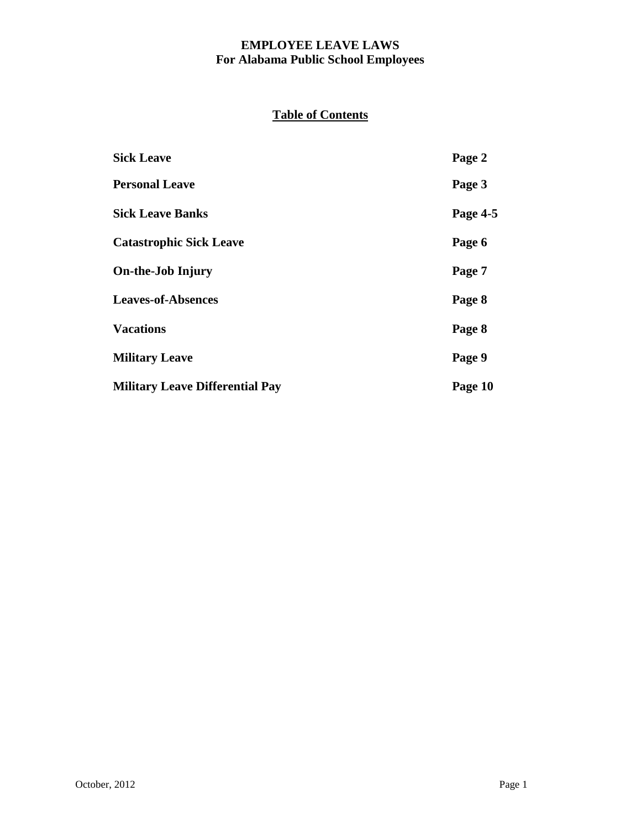# **Table of Contents**

| <b>Sick Leave</b>                      | Page 2   |
|----------------------------------------|----------|
| <b>Personal Leave</b>                  | Page 3   |
| <b>Sick Leave Banks</b>                | Page 4-5 |
| <b>Catastrophic Sick Leave</b>         | Page 6   |
| <b>On-the-Job Injury</b>               | Page 7   |
| <b>Leaves-of-Absences</b>              | Page 8   |
| <b>Vacations</b>                       | Page 8   |
| <b>Military Leave</b>                  | Page 9   |
| <b>Military Leave Differential Pay</b> | Page 10  |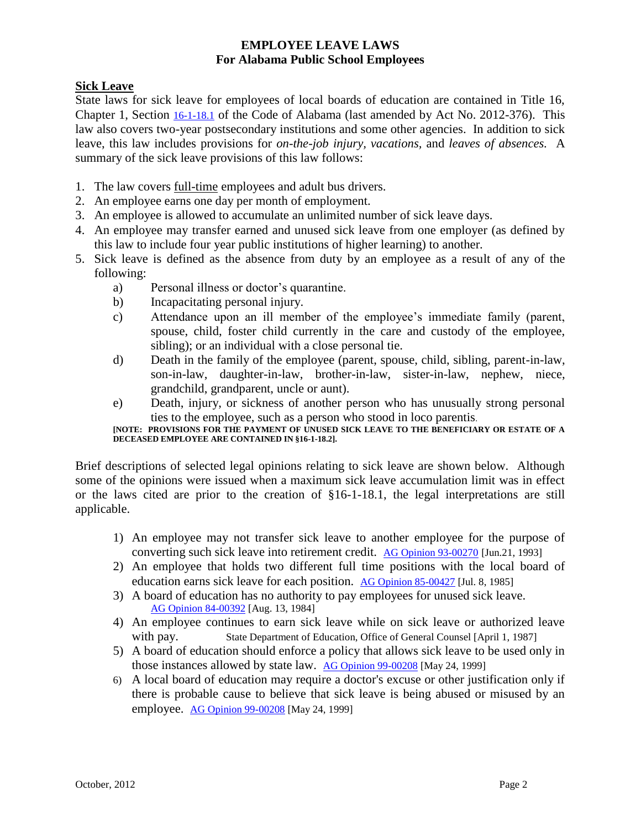### **Sick Leave**

State laws for sick leave for employees of local boards of education are contained in Title 16, Chapter 1, Section [16-1-18.1](https://www.legislature.state.al.us/CodeofAlabama/1975/coatoc.htm) of the Code of Alabama (last amended by Act No. 2012-376). This law also covers two-year postsecondary institutions and some other agencies. In addition to sick leave, this law includes provisions for *on-the-job injury, vacations,* and *leaves of absences.* A summary of the sick leave provisions of this law follows:

- 1. The law covers full-time employees and adult bus drivers.
- 2. An employee earns one day per month of employment.
- 3. An employee is allowed to accumulate an unlimited number of sick leave days.
- 4. An employee may transfer earned and unused sick leave from one employer (as defined by this law to include four year public institutions of higher learning) to another.
- 5. Sick leave is defined as the absence from duty by an employee as a result of any of the following:
	- a) Personal illness or doctor's quarantine.
	- b) Incapacitating personal injury.
	- c) Attendance upon an ill member of the employee's immediate family (parent, spouse, child, foster child currently in the care and custody of the employee, sibling); or an individual with a close personal tie.
	- d) Death in the family of the employee (parent, spouse, child, sibling, parent-in-law, son-in-law, daughter-in-law, brother-in-law, sister-in-law, nephew, niece, grandchild, grandparent, uncle or aunt).
	- e) Death, injury, or sickness of another person who has unusually strong personal ties to the employee, such as a person who stood in loco parentis.

#### **[NOTE: PROVISIONS FOR THE PAYMENT OF UNUSED SICK LEAVE TO THE BENEFICIARY OR ESTATE OF A DECEASED EMPLOYEE ARE CONTAINED IN §16-1-18.2].**

Brief descriptions of selected legal opinions relating to sick leave are shown below. Although some of the opinions were issued when a maximum sick leave accumulation limit was in effect or the laws cited are prior to the creation of §16-1-18.1, the legal interpretations are still applicable.

- 1) An employee may not transfer sick leave to another employee for the purpose of converting such sick leave into retirement credit. [AG Opinion 93-00270](https://www.ago.alabama.gov/Opinions.aspx) [Jun.21, 1993]
- 2) An employee that holds two different full time positions with the local board of education earns sick leave for each position. [AG Opinion 85-00427](https://www.ago.alabama.gov/Opinions.aspx) [Jul. 8, 1985]
- 3) A board of education has no authority to pay employees for unused sick leave. [AG Opinion 84-00392](https://www.ago.alabama.gov/Opinions.aspx) [Aug. 13, 1984]
- 4) An employee continues to earn sick leave while on sick leave or authorized leave with pay. State Department of Education, Office of General Counsel [April 1, 1987]
- 5) A board of education should enforce a policy that allows sick leave to be used only in those instances allowed by state law. AG [Opinion 99-00208](https://www.ago.alabama.gov/Opinions.aspx) [May 24, 1999]
- 6) A local board of education may require a doctor's excuse or other justification only if there is probable cause to believe that sick leave is being abused or misused by an employee. [AG Opinion 99-00208](https://www.ago.alabama.gov/Opinions.aspx) [May 24, 1999]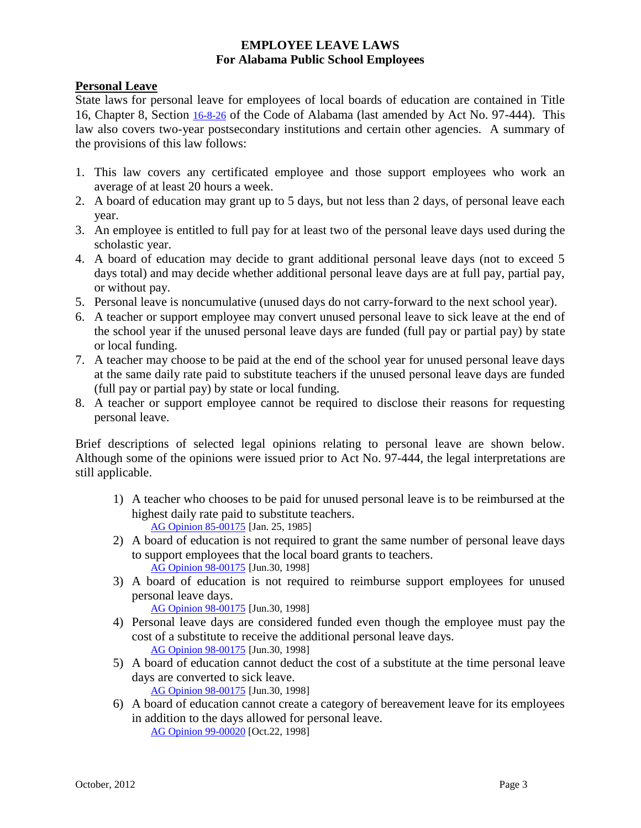#### **Personal Leave**

State laws for personal leave for employees of local boards of education are contained in Title 16, Chapter 8, Section [16-8-26](https://www.legislature.state.al.us/CodeofAlabama/1975/coatoc.htm) of the Code of Alabama (last amended by Act No. 97-444). This law also covers two-year postsecondary institutions and certain other agencies. A summary of the provisions of this law follows:

- 1. This law covers any certificated employee and those support employees who work an average of at least 20 hours a week.
- 2. A board of education may grant up to 5 days, but not less than 2 days, of personal leave each year.
- 3. An employee is entitled to full pay for at least two of the personal leave days used during the scholastic year.
- 4. A board of education may decide to grant additional personal leave days (not to exceed 5 days total) and may decide whether additional personal leave days are at full pay, partial pay, or without pay.
- 5. Personal leave is noncumulative (unused days do not carry-forward to the next school year).
- 6. A teacher or support employee may convert unused personal leave to sick leave at the end of the school year if the unused personal leave days are funded (full pay or partial pay) by state or local funding.
- 7. A teacher may choose to be paid at the end of the school year for unused personal leave days at the same daily rate paid to substitute teachers if the unused personal leave days are funded (full pay or partial pay) by state or local funding.
- 8. A teacher or support employee cannot be required to disclose their reasons for requesting personal leave.

Brief descriptions of selected legal opinions relating to personal leave are shown below. Although some of the opinions were issued prior to Act No. 97-444, the legal interpretations are still applicable.

- 1) A teacher who chooses to be paid for unused personal leave is to be reimbursed at the highest daily rate paid to substitute teachers. [AG Opinion 85-00175](https://www.ago.alabama.gov/Opinions.aspx) [Jan. 25, 1985]
- 2) A board of education is not required to grant the same number of personal leave days to support employees that the local board grants to teachers. [AG Opinion 98-00175](https://www.ago.alabama.gov/Opinions.aspx) [Jun.30, 1998]
- 3) A board of education is not required to reimburse support employees for unused personal leave days.

[AG Opinion 98-00175](https://www.ago.alabama.gov/Opinions.aspx) [Jun.30, 1998]

- 4) Personal leave days are considered funded even though the employee must pay the cost of a substitute to receive the additional personal leave days. [AG Opinion 98-00175](https://www.ago.alabama.gov/Opinions.aspx) [Jun.30, 1998]
- 5) A board of education cannot deduct the cost of a substitute at the time personal leave days are converted to sick leave.

[AG Opinion 98-00175](https://www.ago.alabama.gov/Opinions.aspx) [Jun.30, 1998]

6) A board of education cannot create a category of bereavement leave for its employees in addition to the days allowed for personal leave. [AG Opinion 99-00020](https://www.ago.alabama.gov/Opinions.aspx) [Oct.22, 1998]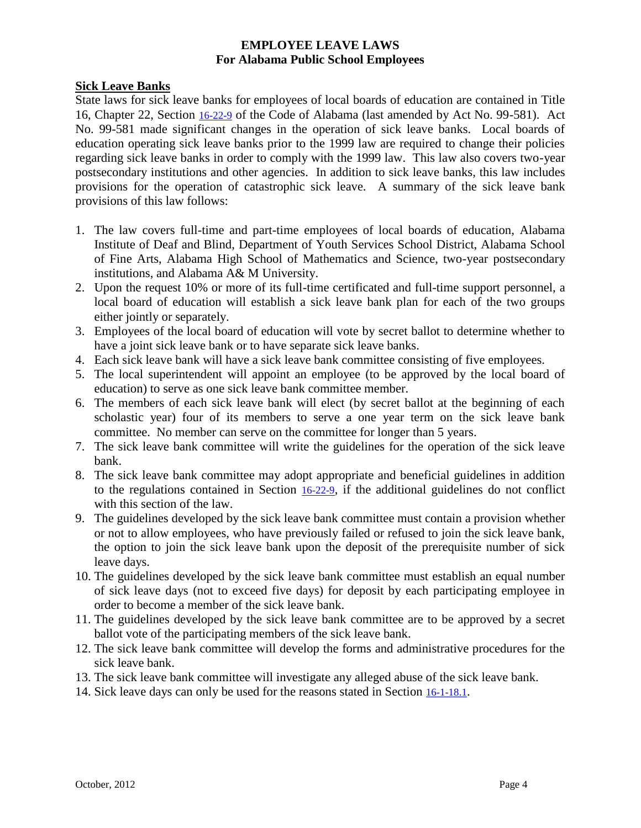#### **Sick Leave Banks**

State laws for sick leave banks for employees of local boards of education are contained in Title 16, Chapter 22, Section [16-22-9](https://www.legislature.state.al.us/CodeofAlabama/1975/coatoc.htm) of the Code of Alabama (last amended by Act No. 99-581). Act No. 99-581 made significant changes in the operation of sick leave banks. Local boards of education operating sick leave banks prior to the 1999 law are required to change their policies regarding sick leave banks in order to comply with the 1999 law. This law also covers two-year postsecondary institutions and other agencies. In addition to sick leave banks, this law includes provisions for the operation of catastrophic sick leave*.* A summary of the sick leave bank provisions of this law follows:

- 1. The law covers full-time and part-time employees of local boards of education, Alabama Institute of Deaf and Blind, Department of Youth Services School District, Alabama School of Fine Arts, Alabama High School of Mathematics and Science, two-year postsecondary institutions, and Alabama A& M University.
- 2. Upon the request 10% or more of its full-time certificated and full-time support personnel, a local board of education will establish a sick leave bank plan for each of the two groups either jointly or separately.
- 3. Employees of the local board of education will vote by secret ballot to determine whether to have a joint sick leave bank or to have separate sick leave banks.
- 4. Each sick leave bank will have a sick leave bank committee consisting of five employees.
- 5. The local superintendent will appoint an employee (to be approved by the local board of education) to serve as one sick leave bank committee member.
- 6. The members of each sick leave bank will elect (by secret ballot at the beginning of each scholastic year) four of its members to serve a one year term on the sick leave bank committee. No member can serve on the committee for longer than 5 years.
- 7. The sick leave bank committee will write the guidelines for the operation of the sick leave bank.
- 8. The sick leave bank committee may adopt appropriate and beneficial guidelines in addition to the regulations contained in Section [16-22-9](https://www.legislature.state.al.us/CodeofAlabama/1975/coatoc.htm), if the additional guidelines do not conflict with this section of the law.
- 9. The guidelines developed by the sick leave bank committee must contain a provision whether or not to allow employees, who have previously failed or refused to join the sick leave bank, the option to join the sick leave bank upon the deposit of the prerequisite number of sick leave days.
- 10. The guidelines developed by the sick leave bank committee must establish an equal number of sick leave days (not to exceed five days) for deposit by each participating employee in order to become a member of the sick leave bank.
- 11. The guidelines developed by the sick leave bank committee are to be approved by a secret ballot vote of the participating members of the sick leave bank.
- 12. The sick leave bank committee will develop the forms and administrative procedures for the sick leave bank.
- 13. The sick leave bank committee will investigate any alleged abuse of the sick leave bank.
- 14. Sick leave days can only be used for the reasons stated in Section [16-1-18.1](https://www.legislature.state.al.us/CodeofAlabama/1975/coatoc.htm).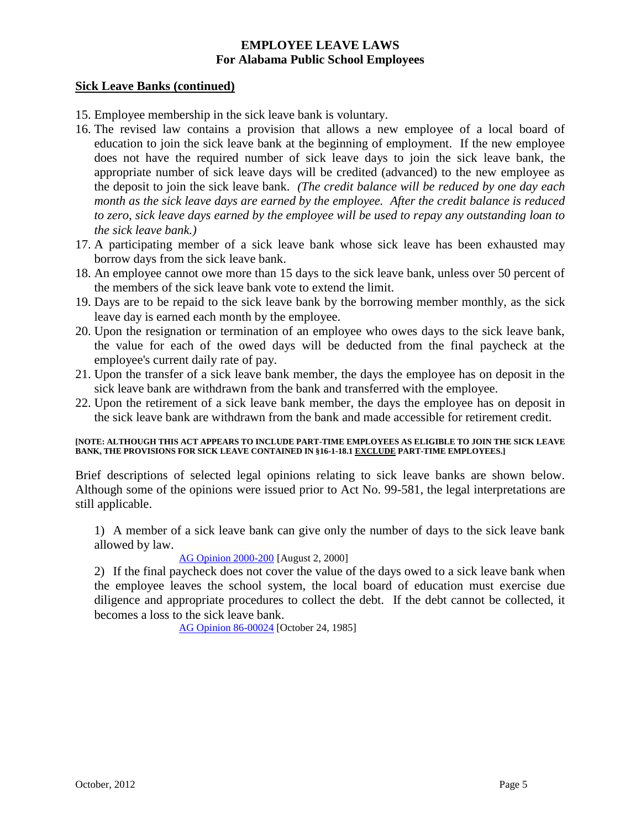#### **Sick Leave Banks (continued)**

- 15. Employee membership in the sick leave bank is voluntary.
- 16. The revised law contains a provision that allows a new employee of a local board of education to join the sick leave bank at the beginning of employment. If the new employee does not have the required number of sick leave days to join the sick leave bank, the appropriate number of sick leave days will be credited (advanced) to the new employee as the deposit to join the sick leave bank. *(The credit balance will be reduced by one day each month as the sick leave days are earned by the employee. After the credit balance is reduced to zero, sick leave days earned by the employee will be used to repay any outstanding loan to the sick leave bank.)*
- 17. A participating member of a sick leave bank whose sick leave has been exhausted may borrow days from the sick leave bank.
- 18. An employee cannot owe more than 15 days to the sick leave bank, unless over 50 percent of the members of the sick leave bank vote to extend the limit.
- 19. Days are to be repaid to the sick leave bank by the borrowing member monthly, as the sick leave day is earned each month by the employee.
- 20. Upon the resignation or termination of an employee who owes days to the sick leave bank, the value for each of the owed days will be deducted from the final paycheck at the employee's current daily rate of pay.
- 21. Upon the transfer of a sick leave bank member, the days the employee has on deposit in the sick leave bank are withdrawn from the bank and transferred with the employee.
- 22. Upon the retirement of a sick leave bank member, the days the employee has on deposit in the sick leave bank are withdrawn from the bank and made accessible for retirement credit.

#### **[NOTE: ALTHOUGH THIS ACT APPEARS TO INCLUDE PART-TIME EMPLOYEES AS ELIGIBLE TO JOIN THE SICK LEAVE BANK, THE PROVISIONS FOR SICK LEAVE CONTAINED IN §16-1-18.1 EXCLUDE PART-TIME EMPLOYEES.]**

Brief descriptions of selected legal opinions relating to sick leave banks are shown below. Although some of the opinions were issued prior to Act No. 99-581, the legal interpretations are still applicable.

1) A member of a sick leave bank can give only the number of days to the sick leave bank allowed by law.

#### [AG Opinion 2000-200](https://www.ago.alabama.gov/Opinions.aspx) [August 2, 2000]

2) If the final paycheck does not cover the value of the days owed to a sick leave bank when the employee leaves the school system, the local board of education must exercise due diligence and appropriate procedures to collect the debt. If the debt cannot be collected, it becomes a loss to the sick leave bank.

[AG Opinion 86-00024](https://www.ago.alabama.gov/Opinions.aspx) [October 24, 1985]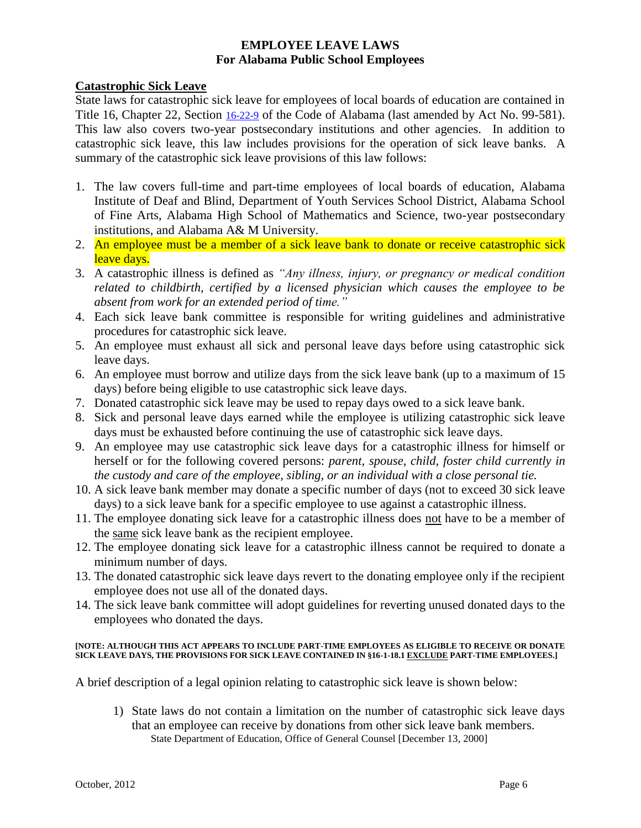#### **Catastrophic Sick Leave**

State laws for catastrophic sick leave for employees of local boards of education are contained in Title 16, Chapter 22, Section [16-22-9](https://www.legislature.state.al.us/CodeofAlabama/1975/coatoc.htm) of the Code of Alabama (last amended by Act No. 99-581). This law also covers two-year postsecondary institutions and other agencies. In addition to catastrophic sick leave, this law includes provisions for the operation of sick leave banks*.* A summary of the catastrophic sick leave provisions of this law follows:

- 1. The law covers full-time and part-time employees of local boards of education, Alabama Institute of Deaf and Blind, Department of Youth Services School District, Alabama School of Fine Arts, Alabama High School of Mathematics and Science, two-year postsecondary institutions, and Alabama A& M University.
- 2. An employee must be a member of a sick leave bank to donate or receive catastrophic sick leave days.
- 3. A catastrophic illness is defined as *"Any illness, injury, or pregnancy or medical condition related to childbirth, certified by a licensed physician which causes the employee to be absent from work for an extended period of time."*
- 4. Each sick leave bank committee is responsible for writing guidelines and administrative procedures for catastrophic sick leave.
- 5. An employee must exhaust all sick and personal leave days before using catastrophic sick leave days.
- 6. An employee must borrow and utilize days from the sick leave bank (up to a maximum of 15 days) before being eligible to use catastrophic sick leave days.
- 7. Donated catastrophic sick leave may be used to repay days owed to a sick leave bank.
- 8. Sick and personal leave days earned while the employee is utilizing catastrophic sick leave days must be exhausted before continuing the use of catastrophic sick leave days.
- 9. An employee may use catastrophic sick leave days for a catastrophic illness for himself or herself or for the following covered persons: *parent, spouse, child, foster child currently in the custody and care of the employee, sibling, or an individual with a close personal tie.*
- 10. A sick leave bank member may donate a specific number of days (not to exceed 30 sick leave days) to a sick leave bank for a specific employee to use against a catastrophic illness.
- 11. The employee donating sick leave for a catastrophic illness does not have to be a member of the same sick leave bank as the recipient employee.
- 12. The employee donating sick leave for a catastrophic illness cannot be required to donate a minimum number of days.
- 13. The donated catastrophic sick leave days revert to the donating employee only if the recipient employee does not use all of the donated days.
- 14. The sick leave bank committee will adopt guidelines for reverting unused donated days to the employees who donated the days.

#### **[NOTE: ALTHOUGH THIS ACT APPEARS TO INCLUDE PART-TIME EMPLOYEES AS ELIGIBLE TO RECEIVE OR DONATE SICK LEAVE DAYS, THE PROVISIONS FOR SICK LEAVE CONTAINED IN §16-1-18.1 EXCLUDE PART-TIME EMPLOYEES.]**

A brief description of a legal opinion relating to catastrophic sick leave is shown below:

1) State laws do not contain a limitation on the number of catastrophic sick leave days that an employee can receive by donations from other sick leave bank members. State Department of Education, Office of General Counsel [December 13, 2000]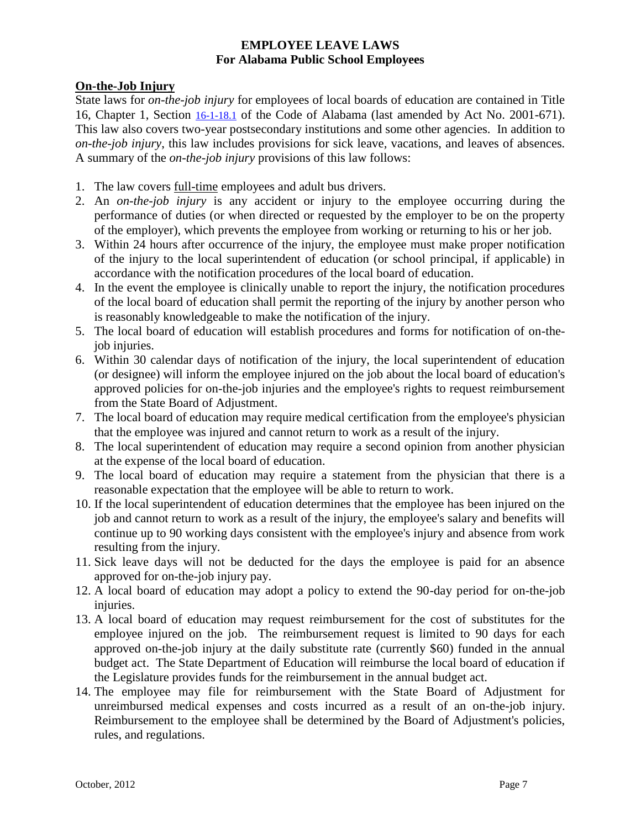# **On-the-Job Injury**

State laws for *on-the-job injury* for employees of local boards of education are contained in Title 16, Chapter 1, Section [16-1-18.1](https://www.legislature.state.al.us/CodeofAlabama/1975/coatoc.htm) of the Code of Alabama (last amended by Act No. 2001-671). This law also covers two-year postsecondary institutions and some other agencies. In addition to *on-the-job injury*, this law includes provisions for sick leave*,* vacations, and leaves of absences*.* A summary of the *on-the-job injury* provisions of this law follows:

- 1. The law covers full-time employees and adult bus drivers.
- 2. An *on-the-job injury* is any accident or injury to the employee occurring during the performance of duties (or when directed or requested by the employer to be on the property of the employer), which prevents the employee from working or returning to his or her job.
- 3. Within 24 hours after occurrence of the injury, the employee must make proper notification of the injury to the local superintendent of education (or school principal, if applicable) in accordance with the notification procedures of the local board of education.
- 4. In the event the employee is clinically unable to report the injury, the notification procedures of the local board of education shall permit the reporting of the injury by another person who is reasonably knowledgeable to make the notification of the injury.
- 5. The local board of education will establish procedures and forms for notification of on-thejob injuries.
- 6. Within 30 calendar days of notification of the injury, the local superintendent of education (or designee) will inform the employee injured on the job about the local board of education's approved policies for on-the-job injuries and the employee's rights to request reimbursement from the State Board of Adjustment.
- 7. The local board of education may require medical certification from the employee's physician that the employee was injured and cannot return to work as a result of the injury.
- 8. The local superintendent of education may require a second opinion from another physician at the expense of the local board of education.
- 9. The local board of education may require a statement from the physician that there is a reasonable expectation that the employee will be able to return to work.
- 10. If the local superintendent of education determines that the employee has been injured on the job and cannot return to work as a result of the injury, the employee's salary and benefits will continue up to 90 working days consistent with the employee's injury and absence from work resulting from the injury.
- 11. Sick leave days will not be deducted for the days the employee is paid for an absence approved for on-the-job injury pay.
- 12. A local board of education may adopt a policy to extend the 90-day period for on-the-job injuries.
- 13. A local board of education may request reimbursement for the cost of substitutes for the employee injured on the job. The reimbursement request is limited to 90 days for each approved on-the-job injury at the daily substitute rate (currently \$60) funded in the annual budget act. The State Department of Education will reimburse the local board of education if the Legislature provides funds for the reimbursement in the annual budget act.
- 14. The employee may file for reimbursement with the State Board of Adjustment for unreimbursed medical expenses and costs incurred as a result of an on-the-job injury. Reimbursement to the employee shall be determined by the Board of Adjustment's policies, rules, and regulations.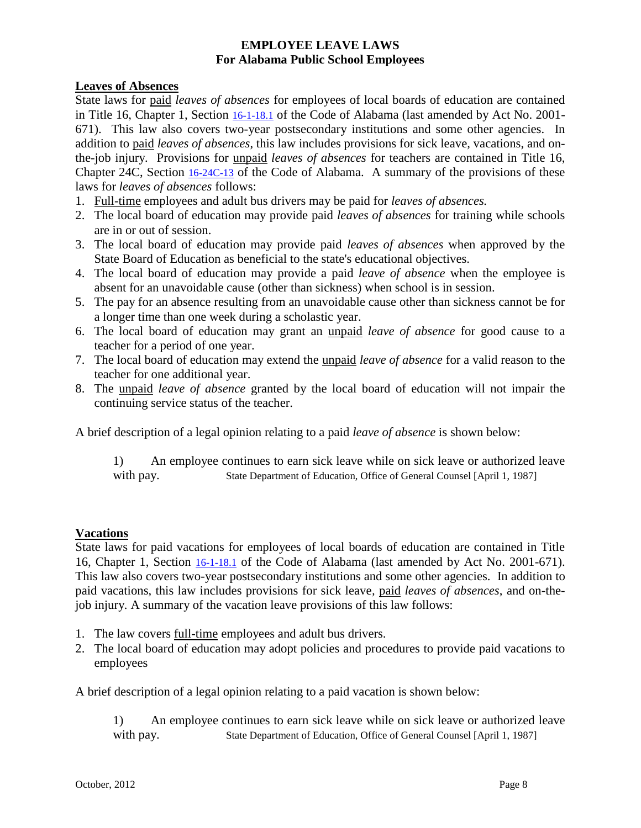#### **Leaves of Absences**

State laws for paid *leaves of absences* for employees of local boards of education are contained in Title 16, Chapter 1, Section [16-1-18.1](https://www.legislature.state.al.us/CodeofAlabama/1975/coatoc.htm) of the Code of Alabama (last amended by Act No. 2001- 671). This law also covers two-year postsecondary institutions and some other agencies. In addition to paid *leaves of absences*, this law includes provisions for sick leave*,* vacations, and onthe-job injury*.* Provisions for unpaid *leaves of absences* for teachers are contained in Title 16, Chapter 24C, Section [16-24C-13](https://www.legislature.state.al.us/CodeofAlabama/1975/coatoc.htm) of the Code of Alabama. A summary of the provisions of these laws for *leaves of absences* follows:

- 1. Full-time employees and adult bus drivers may be paid for *leaves of absences.*
- 2. The local board of education may provide paid *leaves of absences* for training while schools are in or out of session.
- 3. The local board of education may provide paid *leaves of absences* when approved by the State Board of Education as beneficial to the state's educational objectives.
- 4. The local board of education may provide a paid *leave of absence* when the employee is absent for an unavoidable cause (other than sickness) when school is in session.
- 5. The pay for an absence resulting from an unavoidable cause other than sickness cannot be for a longer time than one week during a scholastic year.
- 6. The local board of education may grant an unpaid *leave of absence* for good cause to a teacher for a period of one year.
- 7. The local board of education may extend the unpaid *leave of absence* for a valid reason to the teacher for one additional year.
- 8. The unpaid *leave of absence* granted by the local board of education will not impair the continuing service status of the teacher.

A brief description of a legal opinion relating to a paid *leave of absence* is shown below:

1) An employee continues to earn sick leave while on sick leave or authorized leave with pay. State Department of Education, Office of General Counsel [April 1, 1987]

#### **Vacations**

State laws for paid vacations for employees of local boards of education are contained in Title 16, Chapter 1, Section [16-1-18.1](https://www.legislature.state.al.us/CodeofAlabama/1975/coatoc.htm) of the Code of Alabama (last amended by Act No. 2001-671). This law also covers two-year postsecondary institutions and some other agencies. In addition to paid vacations, this law includes provisions for sick leave*,* paid *leaves of absences*, and on-thejob injury*.* A summary of the vacation leave provisions of this law follows:

- 1. The law covers full-time employees and adult bus drivers.
- 2. The local board of education may adopt policies and procedures to provide paid vacations to employees

A brief description of a legal opinion relating to a paid vacation is shown below:

1) An employee continues to earn sick leave while on sick leave or authorized leave with pay. State Department of Education, Office of General Counsel [April 1, 1987]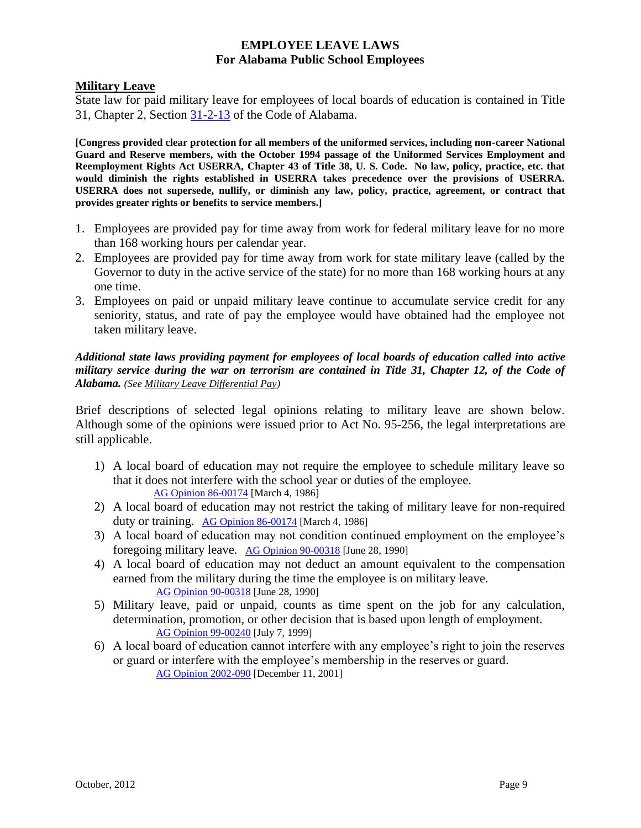#### **Military Leave**

State law for paid military leave for employees of local boards of education is contained in Title 31, Chapter 2, Section [31-2-13](https://www.legislature.state.al.us/CodeofAlabama/1975/coatoc.htm) of the Code of Alabama.

**[Congress provided clear protection for all members of the uniformed services, including non-career National Guard and Reserve members, with the October 1994 passage of the Uniformed Services Employment and Reemployment Rights Act USERRA, Chapter 43 of Title 38, U. S. Code. No law, policy, practice, etc. that would diminish the rights established in USERRA takes precedence over the provisions of USERRA. USERRA does not supersede, nullify, or diminish any law, policy, practice, agreement, or contract that provides greater rights or benefits to service members.]**

- 1. Employees are provided pay for time away from work for federal military leave for no more than 168 working hours per calendar year.
- 2. Employees are provided pay for time away from work for state military leave (called by the Governor to duty in the active service of the state) for no more than 168 working hours at any one time.
- 3. Employees on paid or unpaid military leave continue to accumulate service credit for any seniority, status, and rate of pay the employee would have obtained had the employee not taken military leave.

#### *Additional state laws providing payment for employees of local boards of education called into active military service during the war on terrorism are contained in Title 31, Chapter 12, of the Code of Alabama. (See Military Leave Differential Pay)*

Brief descriptions of selected legal opinions relating to military leave are shown below. Although some of the opinions were issued prior to Act No. 95-256, the legal interpretations are still applicable.

- 1) A local board of education may not require the employee to schedule military leave so that it does not interfere with the school year or duties of the employee. [AG Opinion 86-00174](https://www.ago.alabama.gov/Opinions.aspx) [March 4, 1986]
- 2) A local board of education may not restrict the taking of military leave for non-required duty or training. [AG Opinion 86-00174](https://www.ago.alabama.gov/Opinions.aspx) [March 4, 1986]
- 3) A local board of education may not condition continued employment on the employee's foregoing military leave. [AG Opinion 90-00318](https://www.ago.alabama.gov/Opinions.aspx) [June 28, 1990]
- 4) A local board of education may not deduct an amount equivalent to the compensation earned from the military during the time the employee is on military leave. [AG Opinion 90-00318](https://www.ago.alabama.gov/Opinions.aspx) [June 28, 1990]
- 5) Military leave, paid or unpaid, counts as time spent on the job for any calculation, determination, promotion, or other decision that is based upon length of employment. [AG Opinion 99-00240](https://www.ago.alabama.gov/Opinions.aspx) [July 7, 1999]
- 6) A local board of education cannot interfere with any employee's right to join the reserves or guard or interfere with the employee's membership in the reserves or guard. [AG Opinion 2002-090](https://www.ago.alabama.gov/Opinions.aspx) [December 11, 2001]